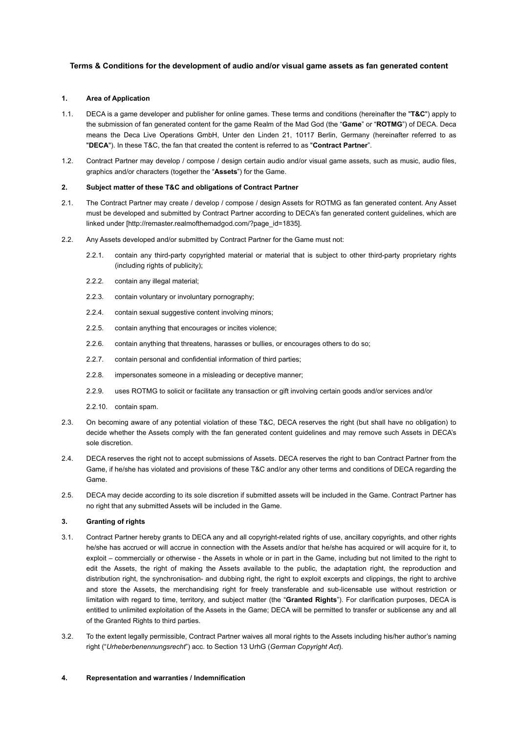# **Terms & Conditions for the development of audio and/or visual game assets as fan generated content**

### **1. Area of Application**

- 1.1. DECA is a game developer and publisher for online games. These terms and conditions (hereinafter the "**T&C**") apply to the submission of fan generated content for the game Realm of the Mad God (the "**Game**" or "**ROTMG**") of DECA. Deca means the Deca Live Operations GmbH, Unter den Linden 21, 10117 Berlin, Germany (hereinafter referred to as "**DECA**"). In these T&C, the fan that created the content is referred to as "**Contract Partner**".
- 1.2. Contract Partner may develop / compose / design certain audio and/or visual game assets, such as music, audio files, graphics and/or characters (together the "**Assets**") for the Game.

#### **2. Subject matter of these T&C and obligations of Contract Partner**

- 2.1. The Contract Partner may create / develop / compose / design Assets for ROTMG as fan generated content. Any Asset must be developed and submitted by Contract Partner according to DECA's fan generated content guidelines, which are linked under [http://remaster.realmofthemadgod.com/?page\_id=1835].
- 2.2. Any Assets developed and/or submitted by Contract Partner for the Game must not:
	- 2.2.1. contain any third-party copyrighted material or material that is subject to other third-party proprietary rights (including rights of publicity);
	- 2.2.2. contain any illegal material;
	- 2.2.3. contain voluntary or involuntary pornography;
	- 2.2.4. contain sexual suggestive content involving minors;
	- 2.2.5. contain anything that encourages or incites violence;
	- 2.2.6. contain anything that threatens, harasses or bullies, or encourages others to do so;
	- 2.2.7. contain personal and confidential information of third parties;
	- 2.2.8. impersonates someone in a misleading or deceptive manner;
	- 2.2.9. uses ROTMG to solicit or facilitate any transaction or gift involving certain goods and/or services and/or
	- 2.2.10. contain spam.
- 2.3. On becoming aware of any potential violation of these T&C, DECA reserves the right (but shall have no obligation) to decide whether the Assets comply with the fan generated content guidelines and may remove such Assets in DECA's sole discretion.
- 2.4. DECA reserves the right not to accept submissions of Assets. DECA reserves the right to ban Contract Partner from the Game, if he/she has violated and provisions of these T&C and/or any other terms and conditions of DECA regarding the Game.
- 2.5. DECA may decide according to its sole discretion if submitted assets will be included in the Game. Contract Partner has no right that any submitted Assets will be included in the Game.

#### **3. Granting of rights**

- 3.1. Contract Partner hereby grants to DECA any and all copyright-related rights of use, ancillary copyrights, and other rights he/she has accrued or will accrue in connection with the Assets and/or that he/she has acquired or will acquire for it, to exploit – commercially or otherwise - the Assets in whole or in part in the Game, including but not limited to the right to edit the Assets, the right of making the Assets available to the public, the adaptation right, the reproduction and distribution right, the synchronisation- and dubbing right, the right to exploit excerpts and clippings, the right to archive and store the Assets, the merchandising right for freely transferable and sub-licensable use without restriction or limitation with regard to time, territory, and subject matter (the "**Granted Rights**"). For clarification purposes, DECA is entitled to unlimited exploitation of the Assets in the Game; DECA will be permitted to transfer or sublicense any and all of the Granted Rights to third parties.
- 3.2. To the extent legally permissible, Contract Partner waives all moral rights to the Assets including his/her author's naming right ("*Urheberbenennungsrecht*") acc. to Section 13 UrhG (*German Copyright Act*).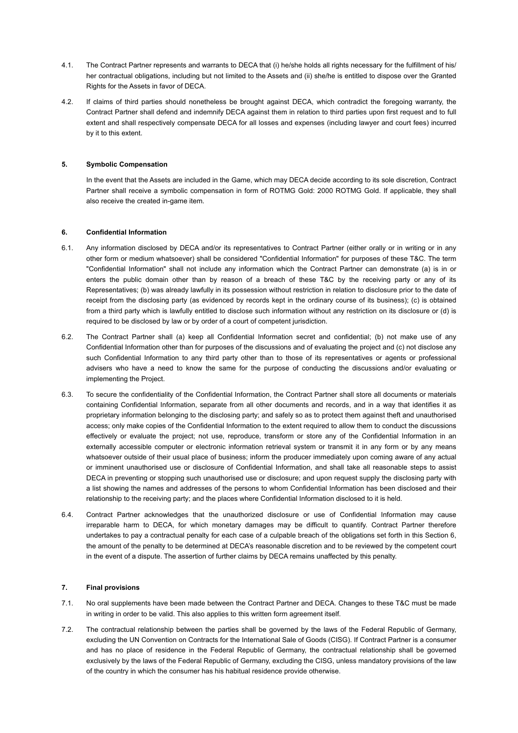- 4.1. The Contract Partner represents and warrants to DECA that (i) he/she holds all rights necessary for the fulfillment of his/ her contractual obligations, including but not limited to the Assets and (ii) she/he is entitled to dispose over the Granted Rights for the Assets in favor of DECA.
- 4.2. If claims of third parties should nonetheless be brought against DECA, which contradict the foregoing warranty, the Contract Partner shall defend and indemnify DECA against them in relation to third parties upon first request and to full extent and shall respectively compensate DECA for all losses and expenses (including lawyer and court fees) incurred by it to this extent.

## **5. Symbolic Compensation**

In the event that the Assets are included in the Game, which may DECA decide according to its sole discretion, Contract Partner shall receive a symbolic compensation in form of ROTMG Gold: 2000 ROTMG Gold. If applicable, they shall also receive the created in-game item.

## **6. Confidential Information**

- 6.1. Any information disclosed by DECA and/or its representatives to Contract Partner (either orally or in writing or in any other form or medium whatsoever) shall be considered "Confidential Information" for purposes of these T&C. The term "Confidential Information" shall not include any information which the Contract Partner can demonstrate (a) is in or enters the public domain other than by reason of a breach of these T&C by the receiving party or any of its Representatives; (b) was already lawfully in its possession without restriction in relation to disclosure prior to the date of receipt from the disclosing party (as evidenced by records kept in the ordinary course of its business); (c) is obtained from a third party which is lawfully entitled to disclose such information without any restriction on its disclosure or (d) is required to be disclosed by law or by order of a court of competent jurisdiction.
- 6.2. The Contract Partner shall (a) keep all Confidential Information secret and confidential; (b) not make use of any Confidential Information other than for purposes of the discussions and of evaluating the project and (c) not disclose any such Confidential Information to any third party other than to those of its representatives or agents or professional advisers who have a need to know the same for the purpose of conducting the discussions and/or evaluating or implementing the Project.
- 6.3. To secure the confidentiality of the Confidential Information, the Contract Partner shall store all documents or materials containing Confidential Information, separate from all other documents and records, and in a way that identifies it as proprietary information belonging to the disclosing party; and safely so as to protect them against theft and unauthorised access; only make copies of the Confidential Information to the extent required to allow them to conduct the discussions effectively or evaluate the project; not use, reproduce, transform or store any of the Confidential Information in an externally accessible computer or electronic information retrieval system or transmit it in any form or by any means whatsoever outside of their usual place of business; inform the producer immediately upon coming aware of any actual or imminent unauthorised use or disclosure of Confidential Information, and shall take all reasonable steps to assist DECA in preventing or stopping such unauthorised use or disclosure; and upon request supply the disclosing party with a list showing the names and addresses of the persons to whom Confidential Information has been disclosed and their relationship to the receiving party; and the places where Confidential Information disclosed to it is held.
- 6.4. Contract Partner acknowledges that the unauthorized disclosure or use of Confidential Information may cause irreparable harm to DECA, for which monetary damages may be difficult to quantify. Contract Partner therefore undertakes to pay a contractual penalty for each case of a culpable breach of the obligations set forth in this Section 6, the amount of the penalty to be determined at DECA's reasonable discretion and to be reviewed by the competent court in the event of a dispute. The assertion of further claims by DECA remains unaffected by this penalty.

## **7. Final provisions**

- 7.1. No oral supplements have been made between the Contract Partner and DECA. Changes to these T&C must be made in writing in order to be valid. This also applies to this written form agreement itself.
- 7.2. The contractual relationship between the parties shall be governed by the laws of the Federal Republic of Germany, excluding the UN Convention on Contracts for the International Sale of Goods (CISG). If Contract Partner is a consumer and has no place of residence in the Federal Republic of Germany, the contractual relationship shall be governed exclusively by the laws of the Federal Republic of Germany, excluding the CISG, unless mandatory provisions of the law of the country in which the consumer has his habitual residence provide otherwise.